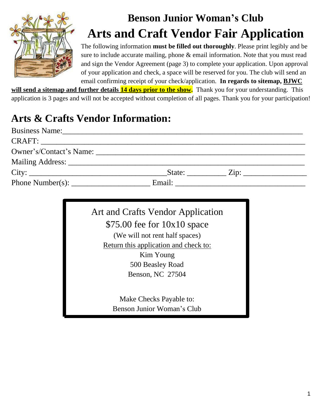

# **Benson Junior Woman's Club Arts and Craft Vendor Fair Application**

The following information **must be filled out thoroughly**. Please print legibly and be sure to include accurate mailing, phone & email information. Note that you must read and sign the Vendor Agreement (page 3) to complete your application. Upon approval of your application and check, a space will be reserved for you. The club will send an email confirming receipt of your check/application. **In regards to sitemap, BJWC**

**will send a sitemap and further details 14 days prior to the show.** Thank you for your understanding. This application is 3 pages and will not be accepted without completion of all pages. Thank you for your participation!

### **Arts & Crafts Vendor Information:**

| Business Name: 1988. [19] Manual Manual Manual Manual Manual Manual Manual Manual Manual Manual Manual Manual Ma |                                                        |  |
|------------------------------------------------------------------------------------------------------------------|--------------------------------------------------------|--|
|                                                                                                                  |                                                        |  |
|                                                                                                                  |                                                        |  |
|                                                                                                                  |                                                        |  |
|                                                                                                                  | $State:$ $Zip:$ $\qquad \qquad$ $Zip:$ $\qquad \qquad$ |  |
| Phone Number(s): Email: Email:                                                                                   |                                                        |  |

| Art and Crafts Vendor Application     |  |  |
|---------------------------------------|--|--|
| $$75.00$ fee for $10x10$ space        |  |  |
| (We will not rent half spaces)        |  |  |
| Return this application and check to: |  |  |
| Kim Young                             |  |  |
| 500 Beasley Road                      |  |  |
| Benson, NC 27504                      |  |  |
|                                       |  |  |
| Make Checks Payable to:               |  |  |

Benson Junior Woman's Club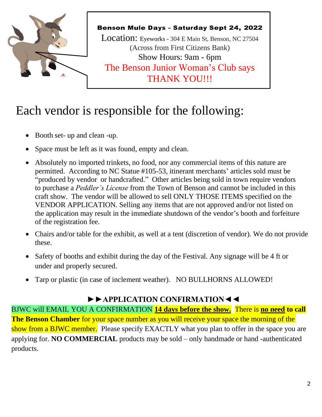

## Each vendor is responsible for the following:

- Booth set- up and clean -up.
- Space must be left as it was found, empty and clean.
- Absolutely no imported trinkets, no food, nor any commercial items of this nature are permitted. According to NC Statue #105-53, itinerant merchants' articles sold must be "produced by vendor or handcrafted." Other articles being sold in town require vendors to purchase a *Peddler's License* from the Town of Benson and cannot be included in this craft show. The vendor will be allowed to sell ONLY THOSE ITEMS specified on the VENDOR APPLICATION. Selling any items that are not approved and/or not listed on the application may result in the immediate shutdown of the vendor's booth and forfeiture of the registration fee.
- Chairs and/or table for the exhibit, as well at a tent (discretion of vendor). We do not provide these.
- Safety of booths and exhibit during the day of the Festival. Any signage will be 4 ft or under and properly secured.
- Tarp or plastic (in case of inclement weather). NO BULLHORNS ALLOWED!

#### **►►APPLICATION CONFIRMATION◄◄**

BJWC will EMAIL YOU A CONFIRMATION **14 days before the show.** There is **no need to call The Benson Chamber** for your space number as you will receive your space the morning of the show from a BJWC member. Please specify EXACTLY what you plan to offer in the space you are applying for. **NO COMMERCIAL** products may be sold – only handmade or hand -authenticated products.